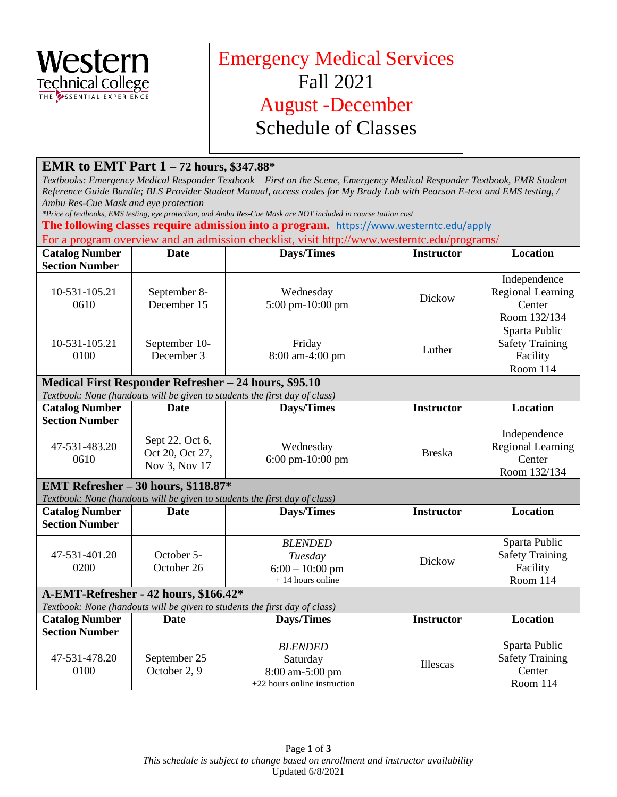

## Emergency Medical Services Fall 2021 August -December Schedule of Classes

## **EMR to EMT Part 1 – 72 hours, \$347.88\***

 *Textbooks: Emergency Medical Responder Textbook – First on the Scene, Emergency Medical Responder Textbook, EMR Student Reference Guide Bundle; BLS Provider Student Manual, access codes for My Brady Lab with Pearson E-text and EMS testing, / Ambu Res-Cue Mask and eye protection* 

 *\*Price of textbooks, EMS testing, eye protection, and Ambu Res-Cue Mask are NOT included in course tuition cost* 

**The following classes require admission into a program.** <https://www.westerntc.edu/apply>

For a program overview and an admission checklist, visit<http://www.westerntc.edu/programs/>

| <b>Catalog Number</b><br><b>Section Number</b>                                                                    | Date                                                | <b>Days/Times</b>                                                                               | <b>Instructor</b> | Location                                                           |  |  |  |
|-------------------------------------------------------------------------------------------------------------------|-----------------------------------------------------|-------------------------------------------------------------------------------------------------|-------------------|--------------------------------------------------------------------|--|--|--|
| 10-531-105.21<br>0610                                                                                             | September 8-<br>December 15                         | Wednesday<br>5:00 pm-10:00 pm                                                                   | Dickow            | Independence<br><b>Regional Learning</b><br>Center<br>Room 132/134 |  |  |  |
| 10-531-105.21<br>0100                                                                                             | September 10-<br>December 3                         | Friday<br>8:00 am-4:00 pm                                                                       | Luther            | Sparta Public<br><b>Safety Training</b><br>Facility<br>Room 114    |  |  |  |
|                                                                                                                   |                                                     | Medical First Responder Refresher – 24 hours, \$95.10                                           |                   |                                                                    |  |  |  |
| <b>Catalog Number</b><br><b>Section Number</b>                                                                    | <b>Date</b>                                         | Textbook: None (handouts will be given to students the first day of class)<br><b>Days/Times</b> | <b>Instructor</b> | <b>Location</b>                                                    |  |  |  |
| 47-531-483.20<br>0610                                                                                             | Sept 22, Oct 6,<br>Oct 20, Oct 27,<br>Nov 3, Nov 17 | Wednesday<br>6:00 pm-10:00 pm                                                                   | <b>Breska</b>     | Independence<br><b>Regional Learning</b><br>Center<br>Room 132/134 |  |  |  |
| EMT Refresher - 30 hours, \$118.87*<br>Textbook: None (handouts will be given to students the first day of class) |                                                     |                                                                                                 |                   |                                                                    |  |  |  |
| <b>Catalog Number</b><br><b>Section Number</b>                                                                    | <b>Date</b>                                         | <b>Days/Times</b>                                                                               | <b>Instructor</b> | <b>Location</b>                                                    |  |  |  |
| 47-531-401.20<br>0200                                                                                             | October 5-<br>October 26                            | <b>BLENDED</b><br>Tuesday<br>$6:00 - 10:00$ pm<br>$+14$ hours online                            | Dickow            | Sparta Public<br><b>Safety Training</b><br>Facility<br>Room 114    |  |  |  |
| A-EMT-Refresher - 42 hours, \$166.42*                                                                             |                                                     |                                                                                                 |                   |                                                                    |  |  |  |
|                                                                                                                   |                                                     | Textbook: None (handouts will be given to students the first day of class)                      |                   | <b>Location</b>                                                    |  |  |  |
| <b>Catalog Number</b><br><b>Section Number</b>                                                                    | Date                                                | <b>Days/Times</b>                                                                               | <b>Instructor</b> |                                                                    |  |  |  |
| 47-531-478.20<br>0100                                                                                             | September 25<br>October 2, 9                        | <b>BLENDED</b><br>Saturday<br>8:00 am-5:00 pm<br>+22 hours online instruction                   | Illescas          | Sparta Public<br><b>Safety Training</b><br>Center<br>Room 114      |  |  |  |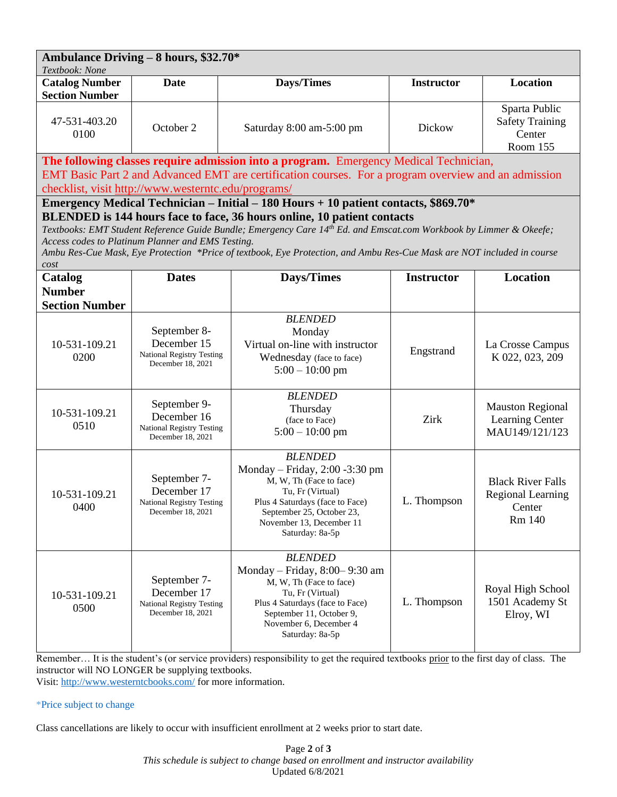| Ambulance Driving - 8 hours, \$32.70* |             |                          |                   |                                                               |  |  |  |  |  |
|---------------------------------------|-------------|--------------------------|-------------------|---------------------------------------------------------------|--|--|--|--|--|
| Textbook: None                        |             |                          |                   |                                                               |  |  |  |  |  |
| <b>Catalog Number</b>                 | <b>Date</b> | Days/Times               | <b>Instructor</b> | Location                                                      |  |  |  |  |  |
| <b>Section Number</b>                 |             |                          |                   |                                                               |  |  |  |  |  |
| 47-531-403.20<br>0100                 | October 2   | Saturday 8:00 am-5:00 pm | Dickow            | Sparta Public<br><b>Safety Training</b><br>Center<br>Room 155 |  |  |  |  |  |

**The following classes require admission into a program.** Emergency Medical Technician,

EMT Basic Part 2 and Advanced EMT are certification courses. For a program overview and an admission checklist, visit<http://www.westerntc.edu/programs/>

**Emergency Medical Technician – Initial – 180 Hours + 10 patient contacts, \$869.70\* BLENDED is 144 hours face to face, 36 hours online, 10 patient contacts** 

 *Textbooks: EMT Student Reference Guide Bundle; Emergency Care 14th Ed. and Emscat.com Workbook by Limmer & Okeefe; Access codes to Platinum Planner and EMS Testing.* 

 *Ambu Res-Cue Mask, Eye Protection \*Price of textbook, Eye Protection, and Ambu Res-Cue Mask are NOT included in course cost* 

| Catalog                                                                                                                               | <b>Dates</b>                                                                         | Days/Times                                                                                                                                                                                                        | <b>Instructor</b> | <b>Location</b>                                                     |  |
|---------------------------------------------------------------------------------------------------------------------------------------|--------------------------------------------------------------------------------------|-------------------------------------------------------------------------------------------------------------------------------------------------------------------------------------------------------------------|-------------------|---------------------------------------------------------------------|--|
| <b>Number</b>                                                                                                                         |                                                                                      |                                                                                                                                                                                                                   |                   |                                                                     |  |
| <b>Section Number</b>                                                                                                                 |                                                                                      |                                                                                                                                                                                                                   |                   |                                                                     |  |
| 10-531-109.21<br>0200                                                                                                                 | September 8-<br>December 15<br><b>National Registry Testing</b><br>December 18, 2021 | <b>BLENDED</b><br>Monday<br>Virtual on-line with instructor<br>Wednesday (face to face)<br>$5:00 - 10:00$ pm                                                                                                      | Engstrand         | La Crosse Campus<br>K 022, 023, 209                                 |  |
| 10-531-109.21<br>0510                                                                                                                 | September 9-<br>December 16<br><b>National Registry Testing</b><br>December 18, 2021 | <b>BLENDED</b><br>Thursday<br>(face to Face)<br>$5:00 - 10:00$ pm                                                                                                                                                 | Zirk              | <b>Mauston Regional</b><br><b>Learning Center</b><br>MAU149/121/123 |  |
| 10-531-109.21<br>0400                                                                                                                 | September 7-<br>December 17<br><b>National Registry Testing</b><br>December 18, 2021 | <b>BLENDED</b><br>Monday – Friday, $2:00 - 3:30$ pm<br>M, W, Th (Face to face)<br>Tu, Fr (Virtual)<br>Plus 4 Saturdays (face to Face)<br>September 25, October 23,<br>November 13, December 11<br>Saturday: 8a-5p | L. Thompson       | <b>Black River Falls</b><br>Regional Learning<br>Center<br>Rm 140   |  |
| 10-531-109.21<br>0500                                                                                                                 | September 7-<br>December 17<br><b>National Registry Testing</b><br>December 18, 2021 | <b>BLENDED</b><br>Monday – Friday, $8:00-9:30$ am<br>M, W, Th (Face to face)<br>Tu, Fr (Virtual)<br>Plus 4 Saturdays (face to Face)<br>September 11, October 9,<br>November 6, December 4<br>Saturday: 8a-5p      | L. Thompson       | Royal High School<br>1501 Academy St<br>Elroy, WI                   |  |
| Remember It is the student's (or service providers) responsibility to get the required textbooks prior to the first day of class. The |                                                                                      |                                                                                                                                                                                                                   |                   |                                                                     |  |

instructor will NO LONGER be supplying textbooks.

Visit[: http://www.westerntcbooks.com/](http://www.westerntcbooks.com/) for more information.

## \*Price subject to change

Class cancellations are likely to occur with insufficient enrollment at 2 weeks prior to start date.